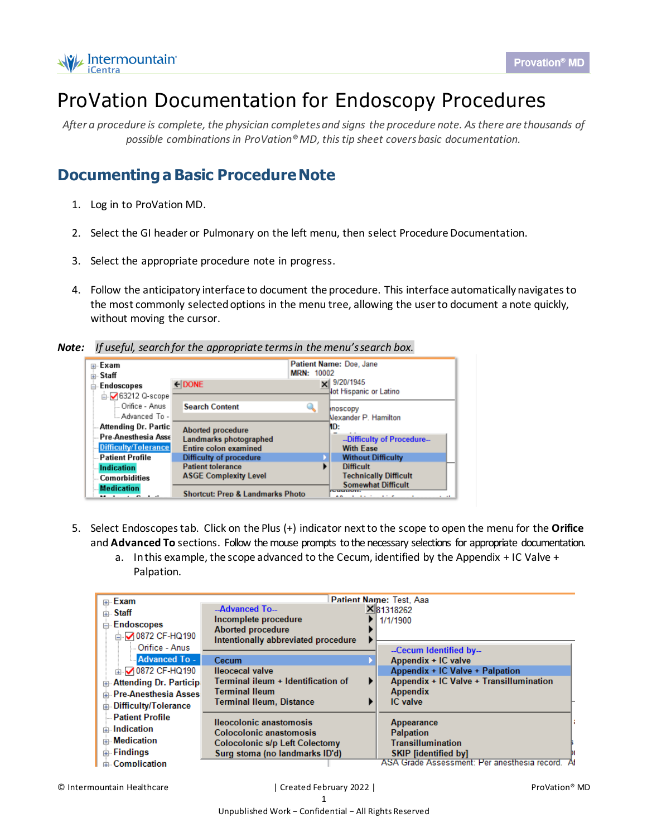

## ProVation Documentation for Endoscopy Procedures

*After a procedure is complete, the physician completes and signs the procedure note. As there are thousands of possible combinations in ProVation® MD, this tip sheet covers basic documentation.*

## **Documentinga Basic Procedure Note**

- 1. Log in to ProVation MD.
- 2. Select the GI header or Pulmonary on the left menu, then select Procedure Documentation.
- 3. Select the appropriate procedure note in progress.
- 4. Follow the anticipatory interface to document the procedure. This interface automatically navigatesto the most commonly selected options in the menu tree, allowing the user to document a note quickly, without moving the cursor.

## *Note: If useful, search for the appropriate terms in the menu's search box.*



- 5. Select Endoscopes tab. Click on the Plus (+) indicator next to the scope to open the menu for the **Orifice** and **Advanced To** sections. Follow the mouse prompts to the necessary selections for appropriate documentation.
	- a. Inthis example, the scope advanced to the Cecum, identified by the Appendix + IC Valve + Palpation.

| ⊞⊹Exam                        |                                     | Patient Name: Test, Aaa                        |  |
|-------------------------------|-------------------------------------|------------------------------------------------|--|
| <b>ட்ட Staff</b>              | --Advanced To--                     | X 81318262                                     |  |
| Endoscopes<br>Ė               | Incomplete procedure                | 1/1/1900                                       |  |
| <b>E-2 0872 CF-HQ190</b>      | <b>Aborted procedure</b>            |                                                |  |
|                               | Intentionally abbreviated procedure |                                                |  |
| <b>Orifice - Anus</b>         |                                     | --Cecum Identified by--                        |  |
| Advanced To -                 | Cecum                               | Appendix + IC valve                            |  |
| m 20872 CF-HQ190              | <b>Ileocecal valve</b>              | Appendix + IC Valve + Palpation                |  |
| <b>Attending Dr. Particip</b> | Terminal ileum + Identification of  | Appendix + IC Valve + Transillumination        |  |
| <b>Pre-Anesthesia Asses</b>   | <b>Terminal Ileum</b>               | <b>Appendix</b>                                |  |
| Difficulty/Tolerance<br>Ėŀ    | <b>Terminal Ileum, Distance</b>     | IC valve                                       |  |
| <b>Patient Profile</b>        | <b>Ileocolonic anastomosis</b>      |                                                |  |
| <b>E</b> Indication           | Colocolonic anastomosis             | <b>Appearance</b><br><b>Palpation</b>          |  |
| <b>Medication</b>             | Colocolonic s/p Left Colectomy      | <b>Transillumination</b>                       |  |
| <b>⊞</b> Findings             | Surg stoma (no landmarks ID'd)      | <b>SKIP [identified by]</b>                    |  |
| <b>Complication</b>           |                                     | ASA Grade Assessment: Per anesthesia record. A |  |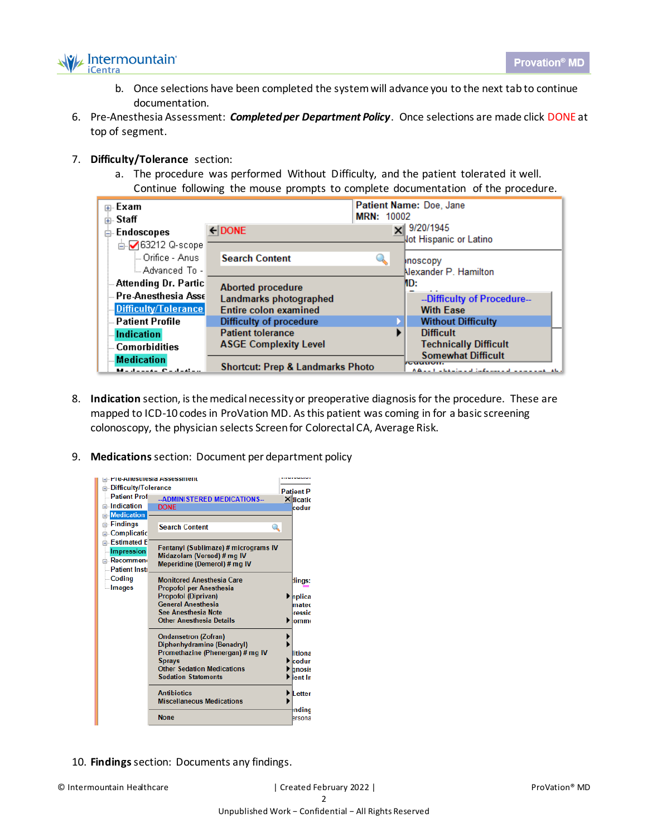

- b. Once selections have been completed the system will advance you to the next tab to continue documentation.
- 6. Pre-Anesthesia Assessment: *Completed per Department Policy*. Once selections are made click DONE at top of segment.
- 7. **Difficulty/Tolerance** section:
	- a. The procedure was performed Without Difficulty, and the patient tolerated it well. Continue following the mouse prompts to complete documentation of the procedure.

| ⊞⊹Exam<br><b>ட்⊢Staff</b>                                                  |                                                                                    | <b>MRN: 10002</b> | Patient Name: Doe, Jane                                                                          |
|----------------------------------------------------------------------------|------------------------------------------------------------------------------------|-------------------|--------------------------------------------------------------------------------------------------|
| <b>Endoscopes</b><br>Ėŀ<br><b>E-</b> 63212 Q-scope                         | $\leftarrow$ DONE                                                                  |                   | 9/20/1945<br>lot Hispanic or Latino                                                              |
| — Orifice - Anusi<br>L. Advanced To -                                      | <b>Search Content</b>                                                              |                   | <b>Inoscopy</b><br>Nexander P. Hamilton                                                          |
| <b>Attending Dr. Partic</b><br>Pre-Anesthesia Asse<br>Difficulty/Tolerance | <b>Aborted procedure</b><br>Landmarks photographed<br><b>Entire colon examined</b> |                   | MD:<br>--Difficulty of Procedure--<br><b>With Ease</b>                                           |
| <b>Patient Profile</b>                                                     | Difficulty of procedure                                                            |                   | <b>Without Difficulty</b>                                                                        |
| <b>Indication</b><br><b>Comorbidities</b>                                  | <b>Patient tolerance</b><br><b>ASGE Complexity Level</b>                           |                   | <b>Difficult</b><br><b>Technically Difficult</b>                                                 |
| <b>Medication</b><br>Marchandel Carl at an                                 | <b>Shortcut: Prep &amp; Landmarks Photo</b>                                        |                   | <b>Somewhat Difficult</b><br>1500000000<br>A Breath of the character and construction and all of |

- 8. **Indication** section, is the medical necessity or preoperative diagnosis for the procedure. These are mapped to ICD-10 codes in ProVation MD. As this patient was coming in for a basic screening colonoscopy, the physician selects Screen for Colorectal CA, Average Risk.
- 9. **Medications**section: Document per department policy



10. **Findings**section: Documents any findings.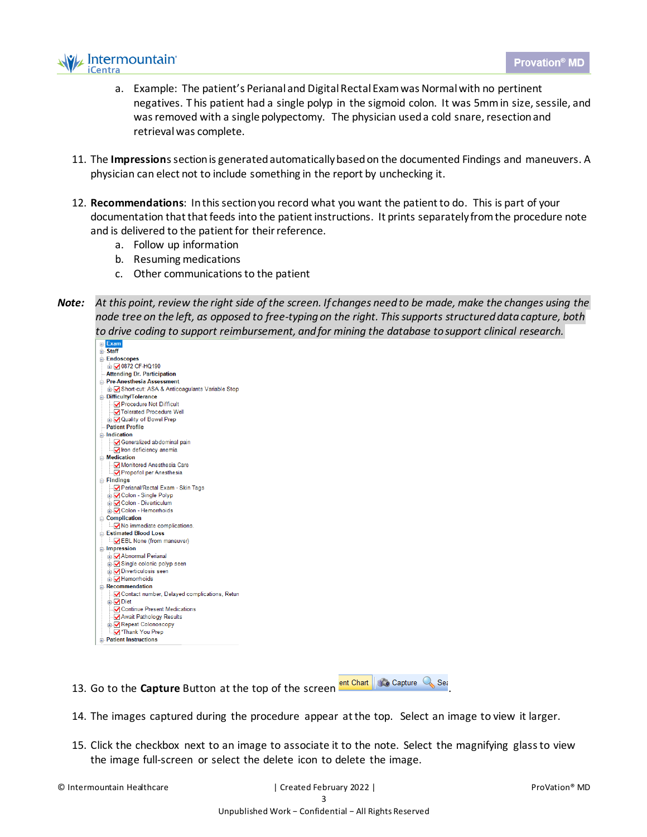

- a. Example: The patient's Perianal and Digital Rectal Exam was Normal with no pertinent negatives. This patient had a single polyp in the sigmoid colon. It was 5mm in size, sessile, and was removed with a single polypectomy. The physician used a cold snare, resection and retrieval was complete.
- 11. The **Impression**s section is generated automatically based on the documented Findings and maneuvers. A physician can elect not to include something in the report by unchecking it.
- 12. **Recommendations**: In this section you record what you want the patient to do. This is part of your documentation that that feeds into the patient instructions. It prints separately from the procedure note and is delivered to the patient for their reference.
	- a. Follow up information
	- b. Resuming medications
	- c. Other communications to the patient
- *Note: At this point, review the right side of the screen. If changes need to be made, make the changes using the node tree on the left, as opposed to free-typing on the right. This supports structured data capture, both to drive coding to support reimbursement, and for mining the database to support clinical research.*



- 13. Go to the **Capture** Button at the top of the screen **entitle Constant Assets**
- 14. The images captured during the procedure appear atthe top. Select an image to view it larger.
- 15. Click the checkbox next to an image to associate it to the note. Select the magnifying glass to view the image full-screen or select the delete icon to delete the image.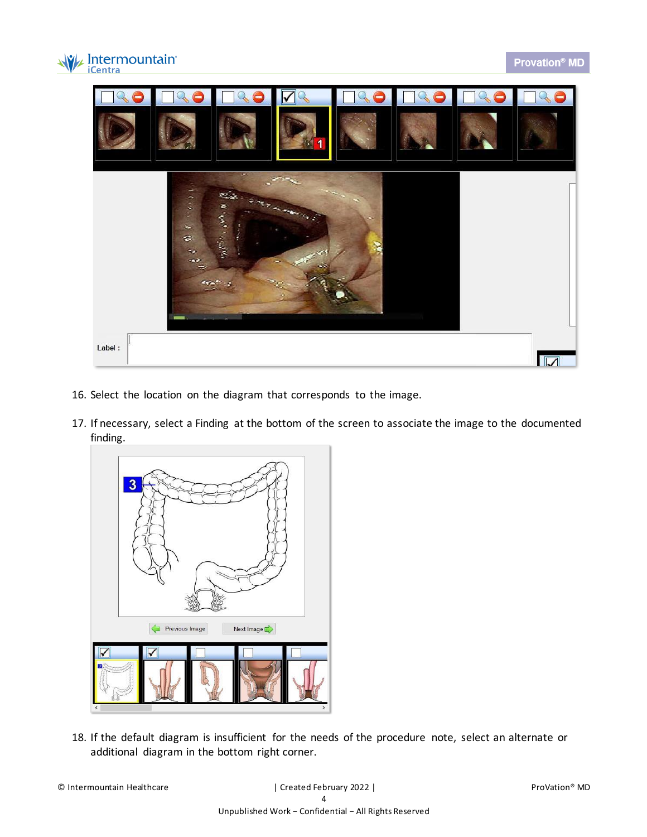



- 16. Select the location on the diagram that corresponds to the image.
- 17. If necessary, select a Finding at the bottom of the screen to associate the image to the documented finding.



18. If the default diagram is insufficient for the needs of the procedure note, select an alternate or additional diagram in the bottom right corner.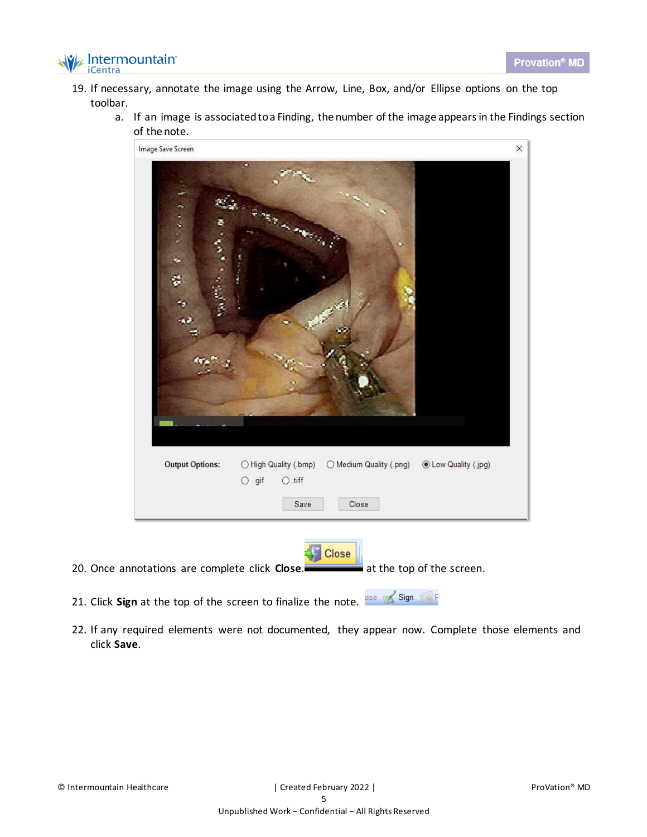

- 19. If necessary, annotate the image using the Arrow, Line, Box, and/or Ellipse options on the top toolbar.
	- a. If an image is associated to a Finding, the number of the image appears in the Findings section of the note.



- 20. Once annotations are complete click **Close**. **at the top of the screen.**
- 21. Click **Sign** at the top of the screen to finalize the note. ase sign to F
- 22. If any required elements were not documented, they appear now. Complete those elements and click **Save**.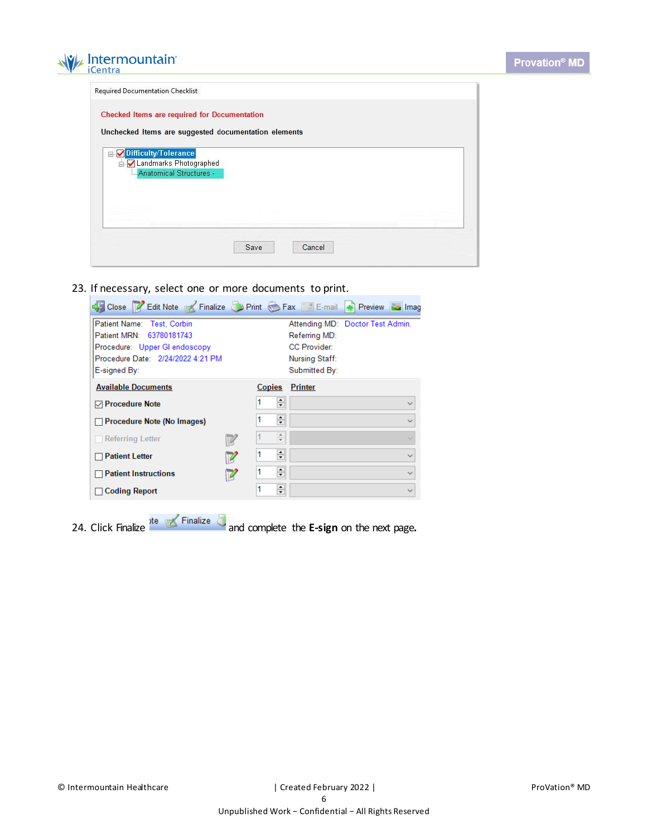

| Checked Items are required for Documentation         |  |  |
|------------------------------------------------------|--|--|
| Unchecked Items are suggested documentation elements |  |  |
|                                                      |  |  |
| Difficulty/Tolerance<br>A Landmarks Photographed     |  |  |
| - Anatomical Structures                              |  |  |
|                                                      |  |  |
|                                                      |  |  |
|                                                      |  |  |
|                                                      |  |  |
|                                                      |  |  |

23. If necessary, select one or more documents to print.

| Close <b>7</b> Edit Note <b>7</b> Finalize D Print Fax E-mail <b>4</b> Preview <b>3</b> Imag |   |                               |                                                   |              |
|----------------------------------------------------------------------------------------------|---|-------------------------------|---------------------------------------------------|--------------|
| Patient Name: Test, Corbin<br>Patient MRN: 63780181743                                       |   |                               | Attending MD: Doctor Test Admin.<br>Referring MD: |              |
| Procedure: Upper GI endoscopy                                                                |   |                               | <b>CC Provider:</b>                               |              |
| Procedure Date: 2/24/2022 4:21 PM<br>E-signed By:                                            |   |                               | Nursing Staff:<br>Submitted By:                   |              |
| <b>Available Documents</b>                                                                   |   | Copies                        | <b>Printer</b>                                    |              |
| <b>⊡</b> Procedure Note                                                                      |   | ÷                             |                                                   |              |
| Procedure Note (No Images)                                                                   |   | ÷                             |                                                   |              |
| <b>Referring Letter</b>                                                                      |   | ▲<br>$\overline{\phantom{a}}$ |                                                   |              |
| <b>Patient Letter</b>                                                                        |   | ÷                             |                                                   |              |
| <b>Patient Instructions</b>                                                                  |   | ÷                             |                                                   | $\checkmark$ |
| <b>Coding Report</b>                                                                         | 1 | $\div$                        |                                                   |              |

24. Click Finalize and complete the **E-sign** on the next page**.**